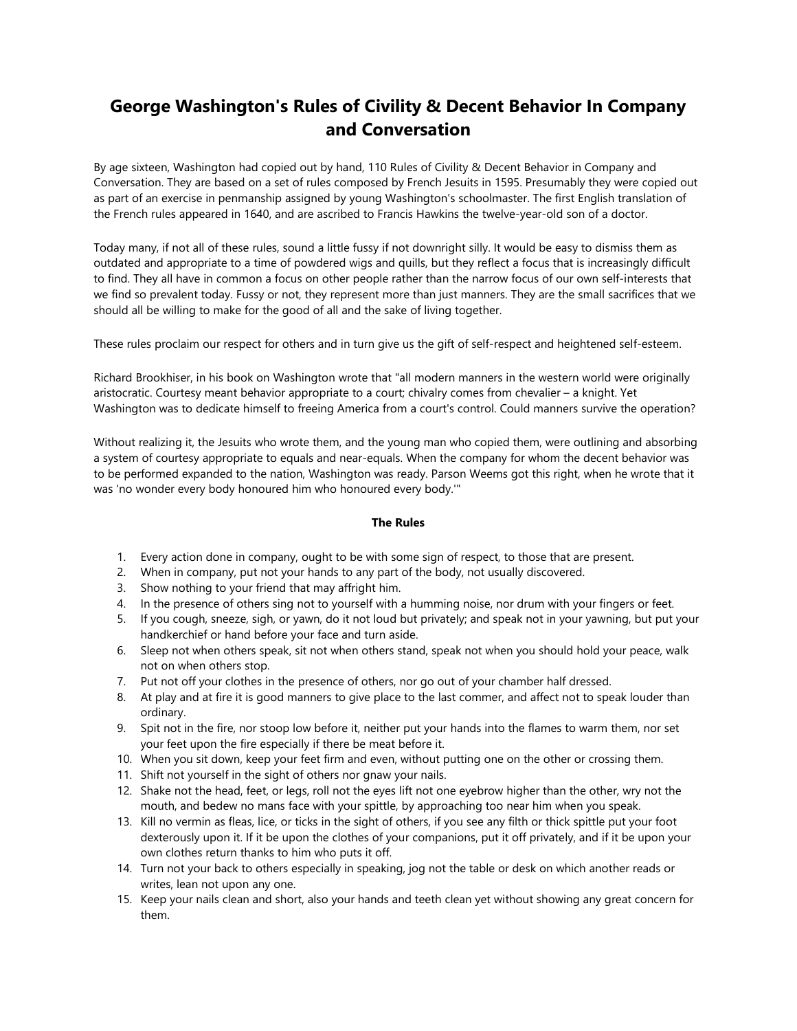## **George Washington's Rules of Civility & Decent Behavior In Company and Conversation**

By age sixteen, Washington had copied out by hand, 110 Rules of Civility & Decent Behavior in Company and Conversation. They are based on a set of rules composed by French Jesuits in 1595. Presumably they were copied out as part of an exercise in penmanship assigned by young Washington's schoolmaster. The first English translation of the French rules appeared in 1640, and are ascribed to Francis Hawkins the twelve-year-old son of a doctor.

Today many, if not all of these rules, sound a little fussy if not downright silly. It would be easy to dismiss them as outdated and appropriate to a time of powdered wigs and quills, but they reflect a focus that is increasingly difficult to find. They all have in common a focus on other people rather than the narrow focus of our own self-interests that we find so prevalent today. Fussy or not, they represent more than just manners. They are the small sacrifices that we should all be willing to make for the good of all and the sake of living together.

These rules proclaim our respect for others and in turn give us the gift of self-respect and heightened self-esteem.

Richard Brookhiser, in his book on Washington wrote that "all modern manners in the western world were originally aristocratic. Courtesy meant behavior appropriate to a court; chivalry comes from chevalier – a knight. Yet Washington was to dedicate himself to freeing America from a court's control. Could manners survive the operation?

Without realizing it, the Jesuits who wrote them, and the young man who copied them, were outlining and absorbing a system of courtesy appropriate to equals and near-equals. When the company for whom the decent behavior was to be performed expanded to the nation, Washington was ready. Parson Weems got this right, when he wrote that it was 'no wonder every body honoured him who honoured every body.'"

## **The Rules**

- 1. Every action done in company, ought to be with some sign of respect, to those that are present.
- 2. When in company, put not your hands to any part of the body, not usually discovered.
- 3. Show nothing to your friend that may affright him.
- 4. In the presence of others sing not to yourself with a humming noise, nor drum with your fingers or feet.
- 5. If you cough, sneeze, sigh, or yawn, do it not loud but privately; and speak not in your yawning, but put your handkerchief or hand before your face and turn aside.
- 6. Sleep not when others speak, sit not when others stand, speak not when you should hold your peace, walk not on when others stop.
- 7. Put not off your clothes in the presence of others, nor go out of your chamber half dressed.
- 8. At play and at fire it is good manners to give place to the last commer, and affect not to speak louder than ordinary.
- 9. Spit not in the fire, nor stoop low before it, neither put your hands into the flames to warm them, nor set your feet upon the fire especially if there be meat before it.
- 10. When you sit down, keep your feet firm and even, without putting one on the other or crossing them.
- 11. Shift not yourself in the sight of others nor gnaw your nails.
- 12. Shake not the head, feet, or legs, roll not the eyes lift not one eyebrow higher than the other, wry not the mouth, and bedew no mans face with your spittle, by approaching too near him when you speak.
- 13. Kill no vermin as fleas, lice, or ticks in the sight of others, if you see any filth or thick spittle put your foot dexterously upon it. If it be upon the clothes of your companions, put it off privately, and if it be upon your own clothes return thanks to him who puts it off.
- 14. Turn not your back to others especially in speaking, jog not the table or desk on which another reads or writes, lean not upon any one.
- 15. Keep your nails clean and short, also your hands and teeth clean yet without showing any great concern for them.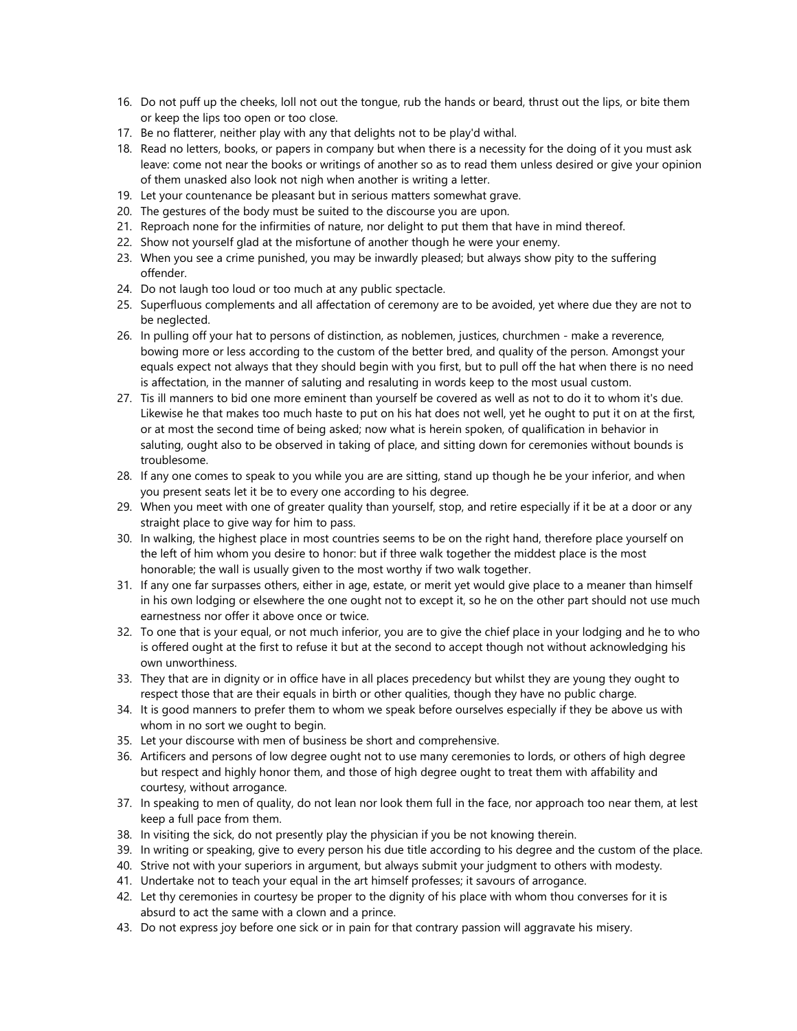- 16. Do not puff up the cheeks, loll not out the tongue, rub the hands or beard, thrust out the lips, or bite them or keep the lips too open or too close.
- 17. Be no flatterer, neither play with any that delights not to be play'd withal.
- 18. Read no letters, books, or papers in company but when there is a necessity for the doing of it you must ask leave: come not near the books or writings of another so as to read them unless desired or give your opinion of them unasked also look not nigh when another is writing a letter.
- 19. Let your countenance be pleasant but in serious matters somewhat grave.
- 20. The gestures of the body must be suited to the discourse you are upon.
- 21. Reproach none for the infirmities of nature, nor delight to put them that have in mind thereof.
- 22. Show not yourself glad at the misfortune of another though he were your enemy.
- 23. When you see a crime punished, you may be inwardly pleased; but always show pity to the suffering offender.
- 24. Do not laugh too loud or too much at any public spectacle.
- 25. Superfluous complements and all affectation of ceremony are to be avoided, yet where due they are not to be neglected.
- 26. In pulling off your hat to persons of distinction, as noblemen, justices, churchmen make a reverence, bowing more or less according to the custom of the better bred, and quality of the person. Amongst your equals expect not always that they should begin with you first, but to pull off the hat when there is no need is affectation, in the manner of saluting and resaluting in words keep to the most usual custom.
- 27. Tis ill manners to bid one more eminent than yourself be covered as well as not to do it to whom it's due. Likewise he that makes too much haste to put on his hat does not well, yet he ought to put it on at the first, or at most the second time of being asked; now what is herein spoken, of qualification in behavior in saluting, ought also to be observed in taking of place, and sitting down for ceremonies without bounds is troublesome.
- 28. If any one comes to speak to you while you are are sitting, stand up though he be your inferior, and when you present seats let it be to every one according to his degree.
- 29. When you meet with one of greater quality than yourself, stop, and retire especially if it be at a door or any straight place to give way for him to pass.
- 30. In walking, the highest place in most countries seems to be on the right hand, therefore place yourself on the left of him whom you desire to honor: but if three walk together the middest place is the most honorable; the wall is usually given to the most worthy if two walk together.
- 31. If any one far surpasses others, either in age, estate, or merit yet would give place to a meaner than himself in his own lodging or elsewhere the one ought not to except it, so he on the other part should not use much earnestness nor offer it above once or twice.
- 32. To one that is your equal, or not much inferior, you are to give the chief place in your lodging and he to who is offered ought at the first to refuse it but at the second to accept though not without acknowledging his own unworthiness.
- 33. They that are in dignity or in office have in all places precedency but whilst they are young they ought to respect those that are their equals in birth or other qualities, though they have no public charge.
- 34. It is good manners to prefer them to whom we speak before ourselves especially if they be above us with whom in no sort we ought to begin.
- 35. Let your discourse with men of business be short and comprehensive.
- 36. Artificers and persons of low degree ought not to use many ceremonies to lords, or others of high degree but respect and highly honor them, and those of high degree ought to treat them with affability and courtesy, without arrogance.
- 37. In speaking to men of quality, do not lean nor look them full in the face, nor approach too near them, at lest keep a full pace from them.
- 38. In visiting the sick, do not presently play the physician if you be not knowing therein.
- 39. In writing or speaking, give to every person his due title according to his degree and the custom of the place.
- 40. Strive not with your superiors in argument, but always submit your judgment to others with modesty.
- 41. Undertake not to teach your equal in the art himself professes; it savours of arrogance.
- 42. Let thy ceremonies in courtesy be proper to the dignity of his place with whom thou converses for it is absurd to act the same with a clown and a prince.
- 43. Do not express joy before one sick or in pain for that contrary passion will aggravate his misery.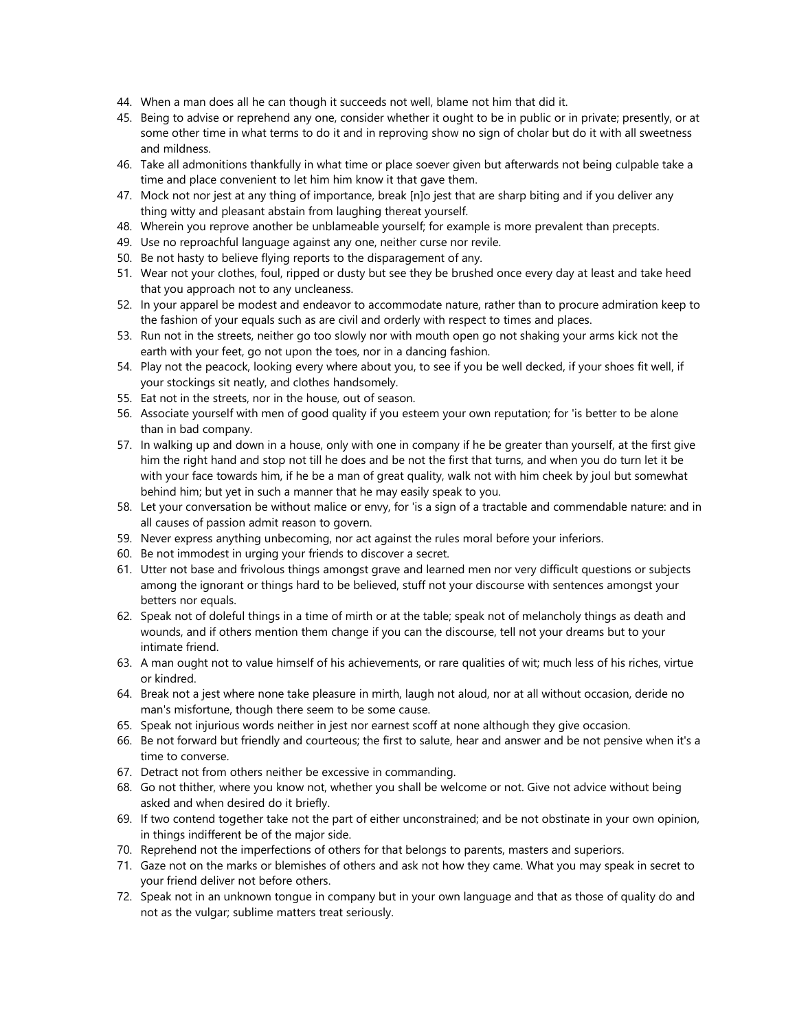- 44. When a man does all he can though it succeeds not well, blame not him that did it.
- 45. Being to advise or reprehend any one, consider whether it ought to be in public or in private; presently, or at some other time in what terms to do it and in reproving show no sign of cholar but do it with all sweetness and mildness.
- 46. Take all admonitions thankfully in what time or place soever given but afterwards not being culpable take a time and place convenient to let him him know it that gave them.
- 47. Mock not nor jest at any thing of importance, break [n]o jest that are sharp biting and if you deliver any thing witty and pleasant abstain from laughing thereat yourself.
- 48. Wherein you reprove another be unblameable yourself; for example is more prevalent than precepts.
- 49. Use no reproachful language against any one, neither curse nor revile.
- 50. Be not hasty to believe flying reports to the disparagement of any.
- 51. Wear not your clothes, foul, ripped or dusty but see they be brushed once every day at least and take heed that you approach not to any uncleaness.
- 52. In your apparel be modest and endeavor to accommodate nature, rather than to procure admiration keep to the fashion of your equals such as are civil and orderly with respect to times and places.
- 53. Run not in the streets, neither go too slowly nor with mouth open go not shaking your arms kick not the earth with your feet, go not upon the toes, nor in a dancing fashion.
- 54. Play not the peacock, looking every where about you, to see if you be well decked, if your shoes fit well, if your stockings sit neatly, and clothes handsomely.
- 55. Eat not in the streets, nor in the house, out of season.
- 56. Associate yourself with men of good quality if you esteem your own reputation; for 'is better to be alone than in bad company.
- 57. In walking up and down in a house, only with one in company if he be greater than yourself, at the first give him the right hand and stop not till he does and be not the first that turns, and when you do turn let it be with your face towards him, if he be a man of great quality, walk not with him cheek by joul but somewhat behind him; but yet in such a manner that he may easily speak to you.
- 58. Let your conversation be without malice or envy, for 'is a sign of a tractable and commendable nature: and in all causes of passion admit reason to govern.
- 59. Never express anything unbecoming, nor act against the rules moral before your inferiors.
- 60. Be not immodest in urging your friends to discover a secret.
- 61. Utter not base and frivolous things amongst grave and learned men nor very difficult questions or subjects among the ignorant or things hard to be believed, stuff not your discourse with sentences amongst your betters nor equals.
- 62. Speak not of doleful things in a time of mirth or at the table; speak not of melancholy things as death and wounds, and if others mention them change if you can the discourse, tell not your dreams but to your intimate friend.
- 63. A man ought not to value himself of his achievements, or rare qualities of wit; much less of his riches, virtue or kindred.
- 64. Break not a jest where none take pleasure in mirth, laugh not aloud, nor at all without occasion, deride no man's misfortune, though there seem to be some cause.
- 65. Speak not injurious words neither in jest nor earnest scoff at none although they give occasion.
- 66. Be not forward but friendly and courteous; the first to salute, hear and answer and be not pensive when it's a time to converse.
- 67. Detract not from others neither be excessive in commanding.
- 68. Go not thither, where you know not, whether you shall be welcome or not. Give not advice without being asked and when desired do it briefly.
- 69. If two contend together take not the part of either unconstrained; and be not obstinate in your own opinion, in things indifferent be of the major side.
- 70. Reprehend not the imperfections of others for that belongs to parents, masters and superiors.
- 71. Gaze not on the marks or blemishes of others and ask not how they came. What you may speak in secret to your friend deliver not before others.
- 72. Speak not in an unknown tongue in company but in your own language and that as those of quality do and not as the vulgar; sublime matters treat seriously.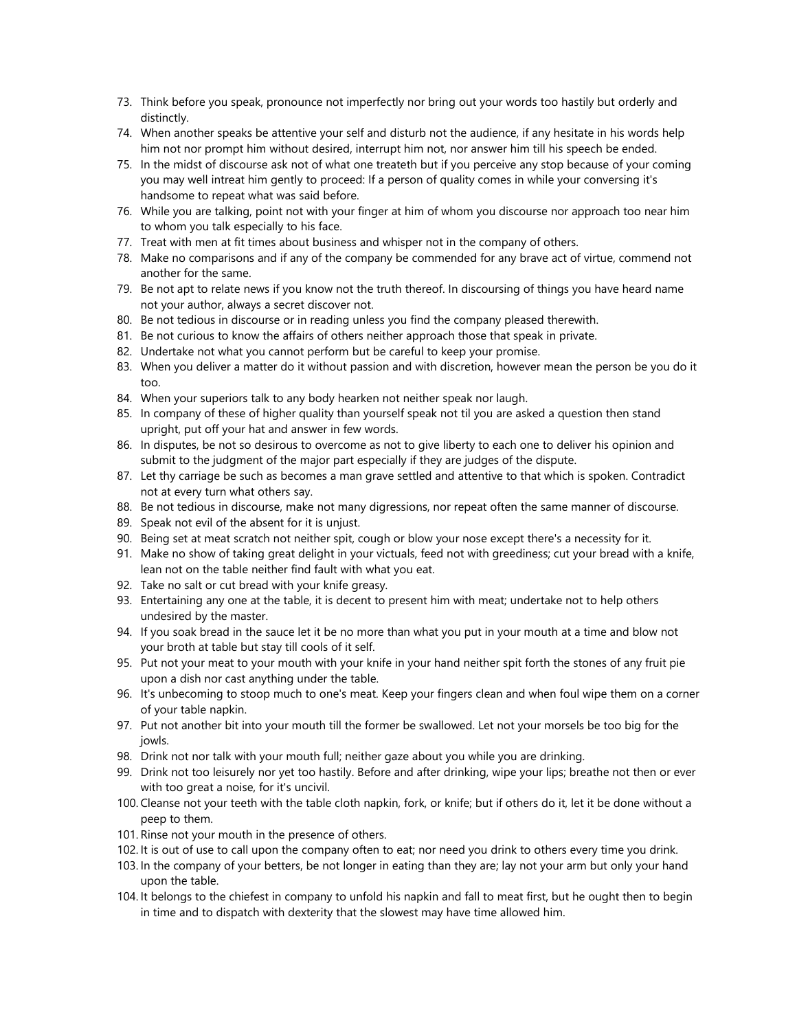- 73. Think before you speak, pronounce not imperfectly nor bring out your words too hastily but orderly and distinctly.
- 74. When another speaks be attentive your self and disturb not the audience, if any hesitate in his words help him not nor prompt him without desired, interrupt him not, nor answer him till his speech be ended.
- 75. In the midst of discourse ask not of what one treateth but if you perceive any stop because of your coming you may well intreat him gently to proceed: If a person of quality comes in while your conversing it's handsome to repeat what was said before.
- 76. While you are talking, point not with your finger at him of whom you discourse nor approach too near him to whom you talk especially to his face.
- 77. Treat with men at fit times about business and whisper not in the company of others.
- 78. Make no comparisons and if any of the company be commended for any brave act of virtue, commend not another for the same.
- 79. Be not apt to relate news if you know not the truth thereof. In discoursing of things you have heard name not your author, always a secret discover not.
- 80. Be not tedious in discourse or in reading unless you find the company pleased therewith.
- 81. Be not curious to know the affairs of others neither approach those that speak in private.
- 82. Undertake not what you cannot perform but be careful to keep your promise.
- 83. When you deliver a matter do it without passion and with discretion, however mean the person be you do it too.
- 84. When your superiors talk to any body hearken not neither speak nor laugh.
- 85. In company of these of higher quality than yourself speak not til you are asked a question then stand upright, put off your hat and answer in few words.
- 86. In disputes, be not so desirous to overcome as not to give liberty to each one to deliver his opinion and submit to the judgment of the major part especially if they are judges of the dispute.
- 87. Let thy carriage be such as becomes a man grave settled and attentive to that which is spoken. Contradict not at every turn what others say.
- 88. Be not tedious in discourse, make not many digressions, nor repeat often the same manner of discourse.
- 89. Speak not evil of the absent for it is unjust.
- 90. Being set at meat scratch not neither spit, cough or blow your nose except there's a necessity for it.
- 91. Make no show of taking great delight in your victuals, feed not with greediness; cut your bread with a knife, lean not on the table neither find fault with what you eat.
- 92. Take no salt or cut bread with your knife greasy.
- 93. Entertaining any one at the table, it is decent to present him with meat; undertake not to help others undesired by the master.
- 94. If you soak bread in the sauce let it be no more than what you put in your mouth at a time and blow not your broth at table but stay till cools of it self.
- 95. Put not your meat to your mouth with your knife in your hand neither spit forth the stones of any fruit pie upon a dish nor cast anything under the table.
- 96. It's unbecoming to stoop much to one's meat. Keep your fingers clean and when foul wipe them on a corner of your table napkin.
- 97. Put not another bit into your mouth till the former be swallowed. Let not your morsels be too big for the iowls.
- 98. Drink not nor talk with your mouth full; neither gaze about you while you are drinking.
- 99. Drink not too leisurely nor yet too hastily. Before and after drinking, wipe your lips; breathe not then or ever with too great a noise, for it's uncivil.
- 100. Cleanse not your teeth with the table cloth napkin, fork, or knife; but if others do it, let it be done without a peep to them.
- 101. Rinse not your mouth in the presence of others.
- 102. It is out of use to call upon the company often to eat; nor need you drink to others every time you drink.
- 103. In the company of your betters, be not longer in eating than they are; lay not your arm but only your hand upon the table.
- 104. It belongs to the chiefest in company to unfold his napkin and fall to meat first, but he ought then to begin in time and to dispatch with dexterity that the slowest may have time allowed him.